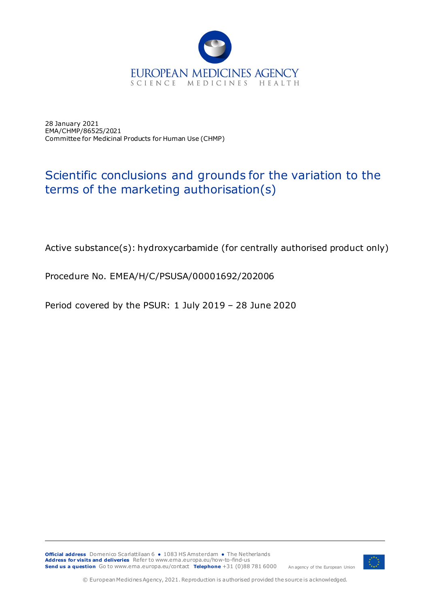

28 January 2021 EMA/CHMP/86525/2021 Committee for Medicinal Products for Human Use (CHMP)

## Scientific conclusions and grounds for the variation to the terms of the marketing authorisation(s)

Active substance(s): hydroxycarbamide (for centrally authorised product only)

Procedure No. EMEA/H/C/PSUSA/00001692/202006

Period covered by the PSUR: 1 July 2019 – 28 June 2020